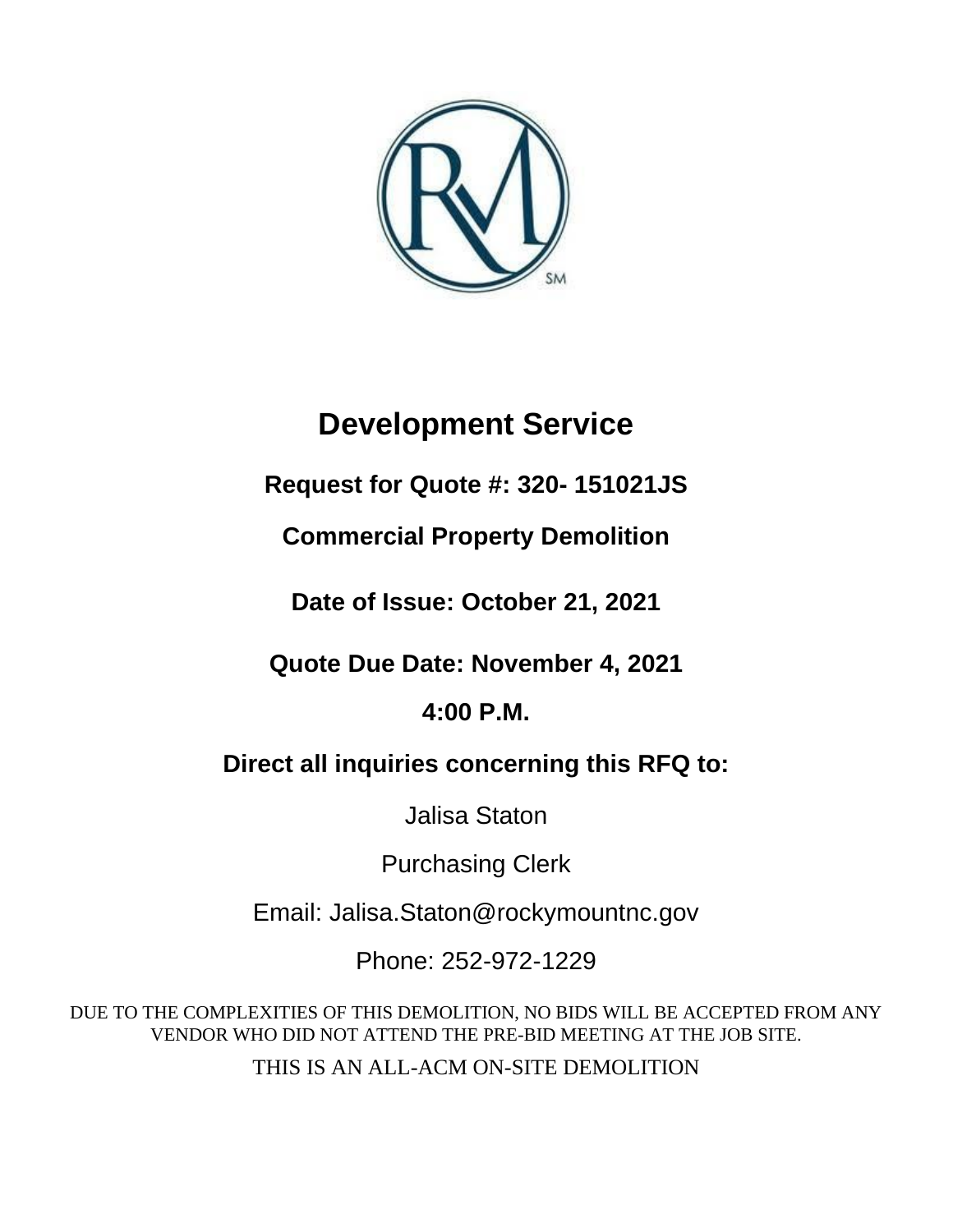

# **Development Service**

**Request for Quote #: 320- 151021JS**

**Commercial Property Demolition** 

**Date of Issue: October 21, 2021**

**Quote Due Date: November 4, 2021**

**4:00 P.M.**

**Direct all inquiries concerning this RFQ to:** 

Jalisa Staton

Purchasing Clerk

Email: Jalisa.Staton@rockymountnc.gov

Phone: 252-972-1229

DUE TO THE COMPLEXITIES OF THIS DEMOLITION, NO BIDS WILL BE ACCEPTED FROM ANY VENDOR WHO DID NOT ATTEND THE PRE-BID MEETING AT THE JOB SITE.

THIS IS AN ALL-ACM ON-SITE DEMOLITION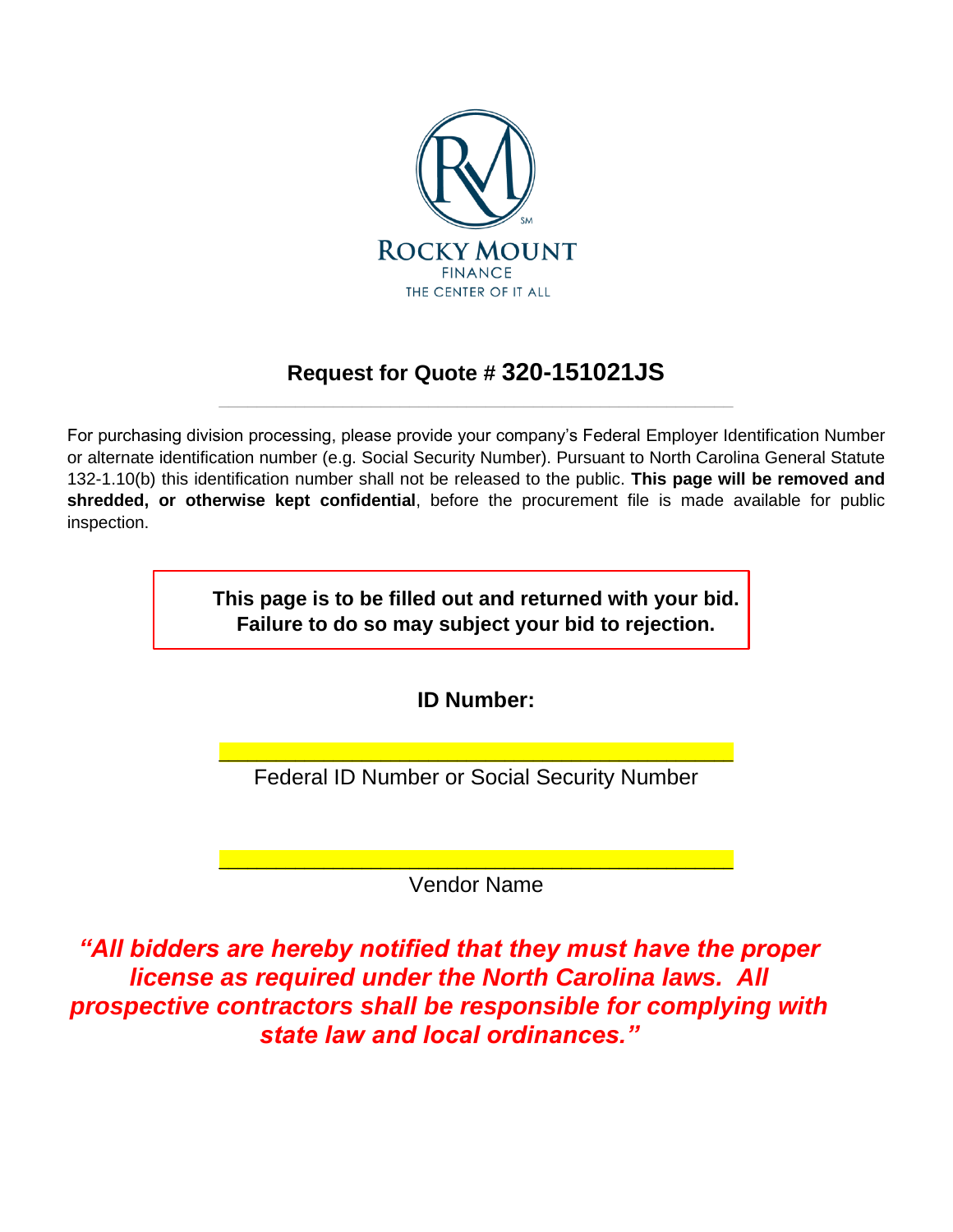

# **Request for Quote # 320-151021JS** \_\_\_\_\_\_\_\_\_\_\_\_\_\_\_\_\_\_\_\_\_\_\_\_\_\_\_\_\_\_\_\_\_\_\_\_\_\_\_\_\_\_\_\_\_\_\_\_\_\_\_\_\_\_

For purchasing division processing, please provide your company's Federal Employer Identification Number or alternate identification number (e.g. Social Security Number). Pursuant to North Carolina General Statute 132-1.10(b) this identification number shall not be released to the public. **This page will be removed and shredded, or otherwise kept confidential**, before the procurement file is made available for public inspection.

> **This page is to be filled out and returned with your bid. Failure to do so may subject your bid to rejection.**

> > **ID Number:**

\_\_\_\_\_\_\_\_\_\_\_\_\_\_\_\_\_\_\_\_\_\_\_\_\_\_\_\_\_\_\_\_\_\_\_\_\_\_\_\_\_\_\_\_\_\_\_\_\_\_\_\_\_\_ Federal ID Number or Social Security Number

\_\_\_\_\_\_\_\_\_\_\_\_\_\_\_\_\_\_\_\_\_\_\_\_\_\_\_\_\_\_\_\_\_\_\_\_\_\_\_\_\_\_\_\_\_\_\_\_\_\_\_\_\_\_ Vendor Name

*"All bidders are hereby notified that they must have the proper license as required under the North Carolina laws. All prospective contractors shall be responsible for complying with state law and local ordinances."*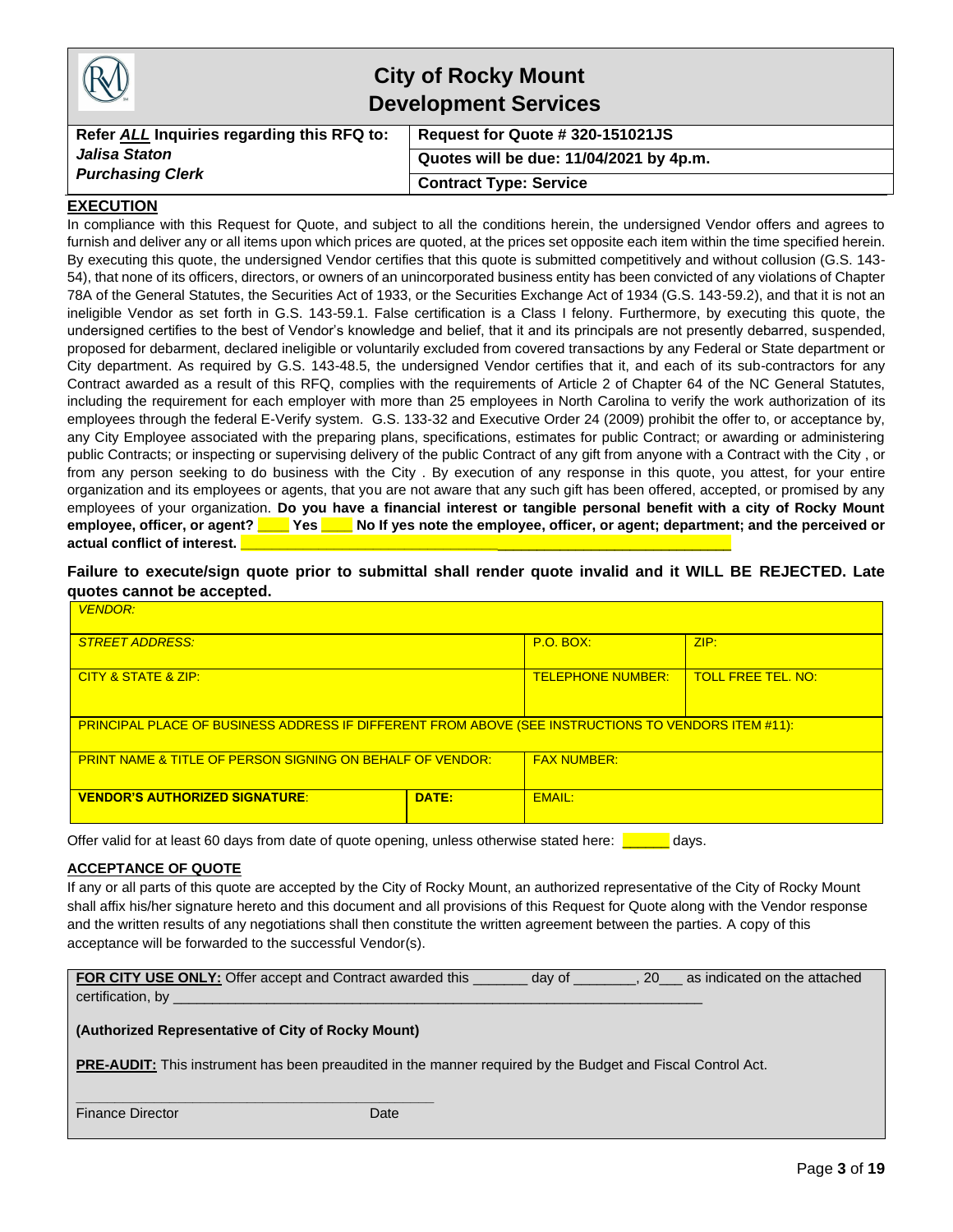|                                            | <b>City of Rocky Mount</b><br><b>Development Services</b> |
|--------------------------------------------|-----------------------------------------------------------|
| Refer ALL Inquiries regarding this RFQ to: | Request for Quote # 320-151021JS                          |
| Jalisa Staton                              | Quotes will be due: 11/04/2021 by 4p.m.                   |
| <b>Purchasing Clerk</b>                    | <b>Contract Type: Service</b>                             |

#### **EXECUTION**

In compliance with this Request for Quote, and subject to all the conditions herein, the undersigned Vendor offers and agrees to furnish and deliver any or all items upon which prices are quoted, at the prices set opposite each item within the time specified herein. By executing this quote, the undersigned Vendor certifies that this quote is submitted competitively and without collusion (G.S. 143- 54), that none of its officers, directors, or owners of an unincorporated business entity has been convicted of any violations of Chapter 78A of the General Statutes, the Securities Act of 1933, or the Securities Exchange Act of 1934 (G.S. 143-59.2), and that it is not an ineligible Vendor as set forth in G.S. 143-59.1. False certification is a Class I felony. Furthermore, by executing this quote, the undersigned certifies to the best of Vendor's knowledge and belief, that it and its principals are not presently debarred, suspended, proposed for debarment, declared ineligible or voluntarily excluded from covered transactions by any Federal or State department or City department. As required by G.S. 143-48.5, the undersigned Vendor certifies that it, and each of its sub-contractors for any Contract awarded as a result of this RFQ, complies with the requirements of Article 2 of Chapter 64 of the NC General Statutes, including the requirement for each employer with more than 25 employees in North Carolina to verify the work authorization of its employees through the federal E-Verify system. G.S. 133-32 and Executive Order 24 (2009) prohibit the offer to, or acceptance by, any City Employee associated with the preparing plans, specifications, estimates for public Contract; or awarding or administering public Contracts; or inspecting or supervising delivery of the public Contract of any gift from anyone with a Contract with the City , or from any person seeking to do business with the City . By execution of any response in this quote, you attest, for your entire organization and its employees or agents, that you are not aware that any such gift has been offered, accepted, or promised by any employees of your organization. **Do you have a financial interest or tangible personal benefit with a city of Rocky Mount employee, officer, or agent? \_\_\_\_ Yes \_\_\_\_ No If yes note the employee, officer, or agent; department; and the perceived or**  actual conflict of interest.

**Failure to execute/sign quote prior to submittal shall render quote invalid and it WILL BE REJECTED. Late quotes cannot be accepted.**

| <b>VENDOR:</b>                                                                                      |       |                  |      |  |
|-----------------------------------------------------------------------------------------------------|-------|------------------|------|--|
| <b>STREET ADDRESS:</b>                                                                              |       | <b>P.O. BOX:</b> | ZIP: |  |
| <b>TELEPHONE NUMBER:</b><br><b>TOLL FREE TEL, NO:</b><br>CITY & STATE & ZIP:                        |       |                  |      |  |
| PRINCIPAL PLACE OF BUSINESS ADDRESS IF DIFFERENT FROM ABOVE (SEE INSTRUCTIONS TO VENDORS ITEM #11): |       |                  |      |  |
| <b>FAX NUMBER:</b><br><b>PRINT NAME &amp; TITLE OF PERSON SIGNING ON BEHALF OF VENDOR:</b>          |       |                  |      |  |
| <b>VENDOR'S AUTHORIZED SIGNATURE:</b>                                                               | DATE: | <b>EMAIL:</b>    |      |  |

Offer valid for at least 60 days from date of quote opening, unless otherwise stated here: **The analyse** 

#### **ACCEPTANCE OF QUOTE**

If any or all parts of this quote are accepted by the City of Rocky Mount, an authorized representative of the City of Rocky Mount shall affix his/her signature hereto and this document and all provisions of this Request for Quote along with the Vendor response and the written results of any negotiations shall then constitute the written agreement between the parties. A copy of this acceptance will be forwarded to the successful Vendor(s).

| FOR CITY USE ONLY: Offer accept and Contract awarded this | day of | <b>20</b> | as indicated on the attached |
|-----------------------------------------------------------|--------|-----------|------------------------------|
| certification, by                                         |        |           |                              |

#### **(Authorized Representative of City of Rocky Mount)**

**\_\_\_\_\_\_\_\_\_\_\_\_\_\_\_\_\_\_\_\_\_\_\_\_\_\_\_\_\_\_\_\_\_\_\_\_\_\_\_\_\_\_\_\_\_\_**

**PRE-AUDIT:** This instrument has been preaudited in the manner required by the Budget and Fiscal Control Act.

| <b>Finance Director</b> | Date |
|-------------------------|------|
|-------------------------|------|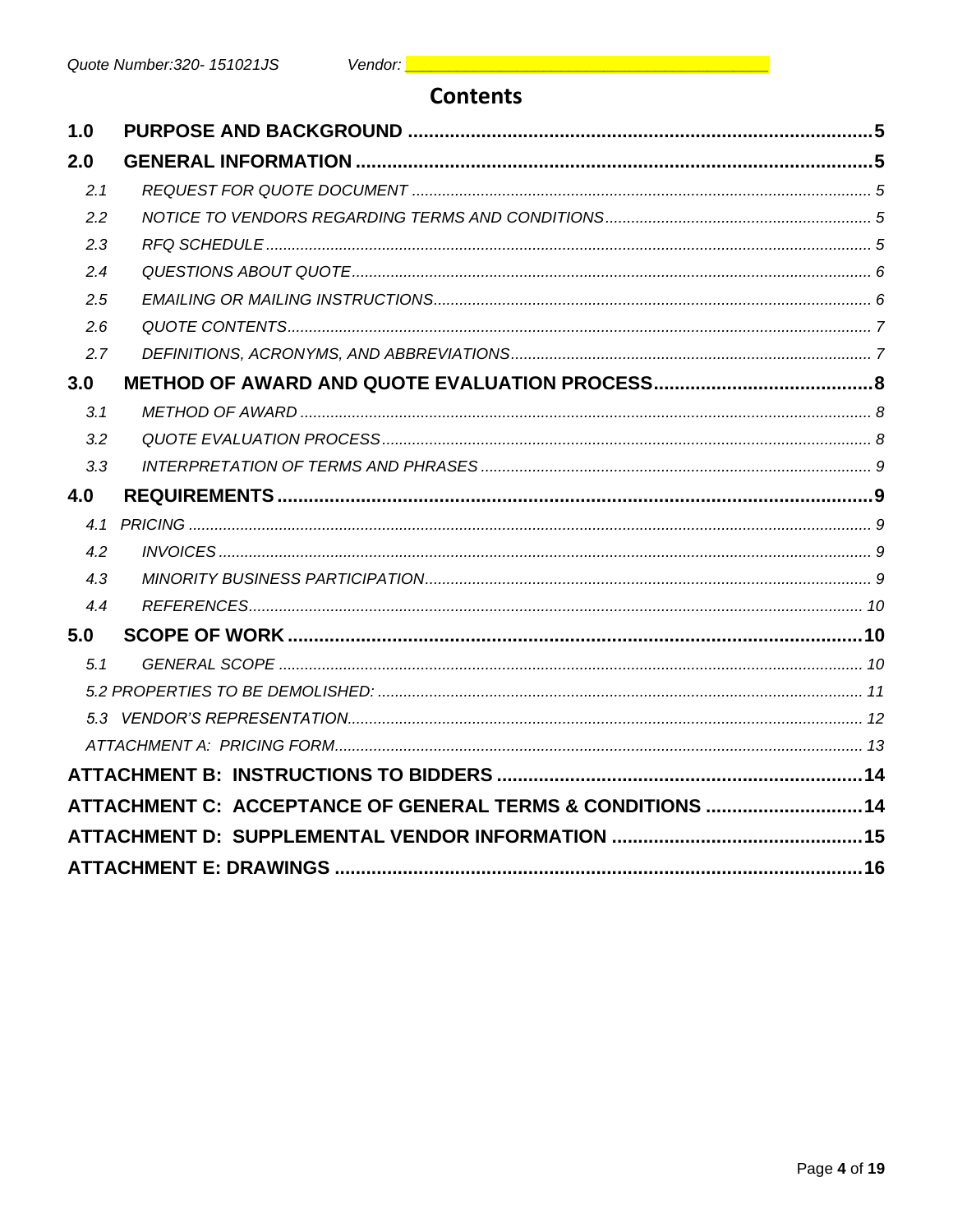# **Contents**

| 1.0 |                                                            |  |
|-----|------------------------------------------------------------|--|
| 2.0 |                                                            |  |
| 2.1 |                                                            |  |
| 2.2 |                                                            |  |
| 2.3 |                                                            |  |
| 2.4 |                                                            |  |
| 2.5 |                                                            |  |
| 2.6 |                                                            |  |
| 2.7 |                                                            |  |
| 3.0 |                                                            |  |
| 3.1 |                                                            |  |
| 3.2 |                                                            |  |
| 3.3 |                                                            |  |
| 4.0 |                                                            |  |
|     |                                                            |  |
| 4.2 |                                                            |  |
| 4.3 |                                                            |  |
| 4.4 |                                                            |  |
| 5.0 |                                                            |  |
| 5.1 |                                                            |  |
|     |                                                            |  |
|     |                                                            |  |
|     |                                                            |  |
|     |                                                            |  |
|     | ATTACHMENT C: ACCEPTANCE OF GENERAL TERMS & CONDITIONS  14 |  |
|     |                                                            |  |
|     |                                                            |  |
|     |                                                            |  |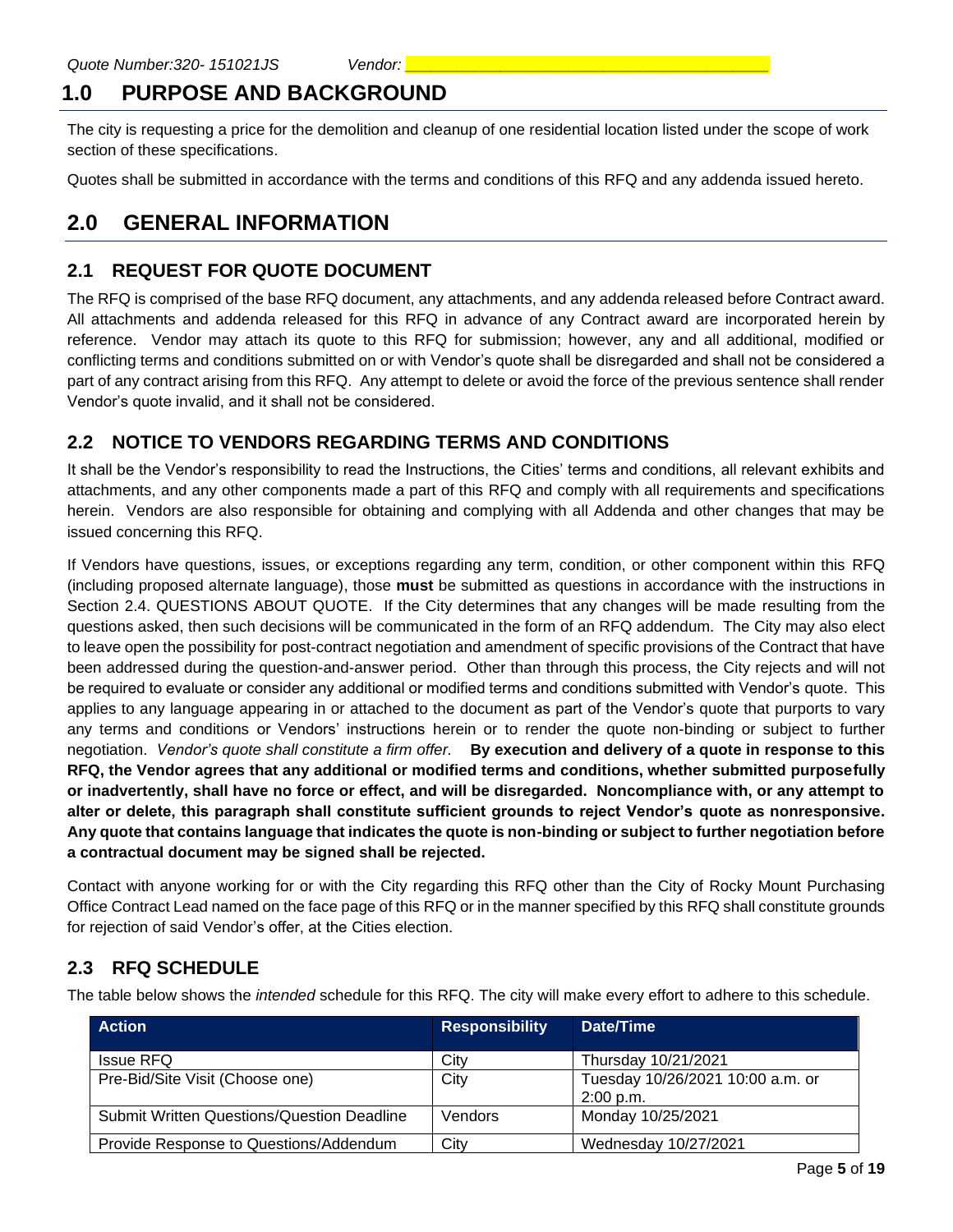# **1.0 PURPOSE AND BACKGROUND**

The city is requesting a price for the demolition and cleanup of one residential location listed under the scope of work section of these specifications.

Quotes shall be submitted in accordance with the terms and conditions of this RFQ and any addenda issued hereto.

# **2.0 GENERAL INFORMATION**

#### **2.1 REQUEST FOR QUOTE DOCUMENT**

The RFQ is comprised of the base RFQ document, any attachments, and any addenda released before Contract award. All attachments and addenda released for this RFQ in advance of any Contract award are incorporated herein by reference. Vendor may attach its quote to this RFQ for submission; however, any and all additional, modified or conflicting terms and conditions submitted on or with Vendor's quote shall be disregarded and shall not be considered a part of any contract arising from this RFQ. Any attempt to delete or avoid the force of the previous sentence shall render Vendor's quote invalid, and it shall not be considered.

## **2.2 NOTICE TO VENDORS REGARDING TERMS AND CONDITIONS**

It shall be the Vendor's responsibility to read the Instructions, the Cities' terms and conditions, all relevant exhibits and attachments, and any other components made a part of this RFQ and comply with all requirements and specifications herein. Vendors are also responsible for obtaining and complying with all Addenda and other changes that may be issued concerning this RFQ.

If Vendors have questions, issues, or exceptions regarding any term, condition, or other component within this RFQ (including proposed alternate language), those **must** be submitted as questions in accordance with the instructions in Section 2.4. QUESTIONS ABOUT QUOTE. If the City determines that any changes will be made resulting from the questions asked, then such decisions will be communicated in the form of an RFQ addendum. The City may also elect to leave open the possibility for post-contract negotiation and amendment of specific provisions of the Contract that have been addressed during the question-and-answer period. Other than through this process, the City rejects and will not be required to evaluate or consider any additional or modified terms and conditions submitted with Vendor's quote. This applies to any language appearing in or attached to the document as part of the Vendor's quote that purports to vary any terms and conditions or Vendors' instructions herein or to render the quote non-binding or subject to further negotiation. *Vendor's quote shall constitute a firm offer.* **By execution and delivery of a quote in response to this RFQ, the Vendor agrees that any additional or modified terms and conditions, whether submitted purposefully or inadvertently, shall have no force or effect, and will be disregarded. Noncompliance with, or any attempt to alter or delete, this paragraph shall constitute sufficient grounds to reject Vendor's quote as nonresponsive. Any quote that contains language that indicates the quote is non-binding or subject to further negotiation before a contractual document may be signed shall be rejected.**

Contact with anyone working for or with the City regarding this RFQ other than the City of Rocky Mount Purchasing Office Contract Lead named on the face page of this RFQ or in the manner specified by this RFQ shall constitute grounds for rejection of said Vendor's offer, at the Cities election.

## **2.3 RFQ SCHEDULE**

The table below shows the *intended* schedule for this RFQ. The city will make every effort to adhere to this schedule.

| <b>Action</b>                                     | <b>Responsibility</b> | Date/Time                                     |
|---------------------------------------------------|-----------------------|-----------------------------------------------|
| <b>Issue RFQ</b>                                  | City                  | Thursday 10/21/2021                           |
| Pre-Bid/Site Visit (Choose one)                   | City                  | Tuesday 10/26/2021 10:00 a.m. or<br>2:00 p.m. |
| <b>Submit Written Questions/Question Deadline</b> | Vendors               | Monday 10/25/2021                             |
| Provide Response to Questions/Addendum            | City                  | Wednesday 10/27/2021                          |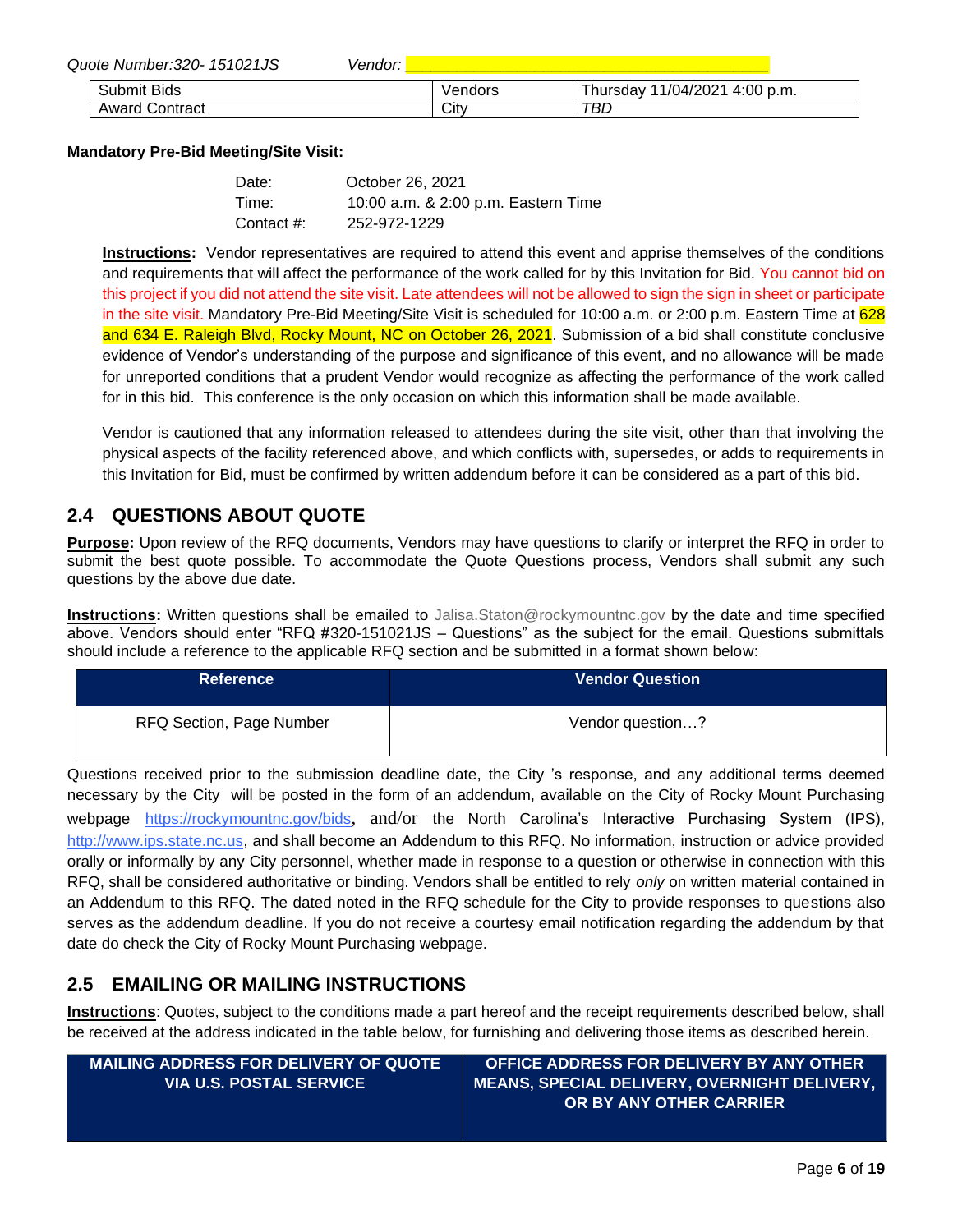| Quote Number: 320-151021JS | <i>Vendor:</i> |         |                               |  |
|----------------------------|----------------|---------|-------------------------------|--|
| <b>Submit Bids</b>         |                | √endors | Thursday 11/04/2021 4:00 p.m. |  |
| <b>Award Contract</b>      |                | City    | TBL                           |  |

#### **Mandatory Pre-Bid Meeting/Site Visit:**

| Date:      | October 26, 2021                    |
|------------|-------------------------------------|
| Time:      | 10:00 a.m. & 2:00 p.m. Eastern Time |
| Contact #: | 252-972-1229                        |

**Instructions:** Vendor representatives are required to attend this event and apprise themselves of the conditions and requirements that will affect the performance of the work called for by this Invitation for Bid. You cannot bid on this project if you did not attend the site visit. Late attendees will not be allowed to sign the sign in sheet or participate in the site visit. Mandatory Pre-Bid Meeting/Site Visit is scheduled for 10:00 a.m. or 2:00 p.m. Eastern Time at 628 and 634 E. Raleigh Blvd, Rocky Mount, NC on October 26, 2021. Submission of a bid shall constitute conclusive evidence of Vendor's understanding of the purpose and significance of this event, and no allowance will be made for unreported conditions that a prudent Vendor would recognize as affecting the performance of the work called for in this bid. This conference is the only occasion on which this information shall be made available.

Vendor is cautioned that any information released to attendees during the site visit, other than that involving the physical aspects of the facility referenced above, and which conflicts with, supersedes, or adds to requirements in this Invitation for Bid, must be confirmed by written addendum before it can be considered as a part of this bid.

#### **2.4 QUESTIONS ABOUT QUOTE**

**Purpose:** Upon review of the RFQ documents, Vendors may have questions to clarify or interpret the RFQ in order to submit the best quote possible. To accommodate the Quote Questions process, Vendors shall submit any such questions by the above due date.

**Instructions:** Written questions shall be emailed to [Jalisa.Staton@rockymountnc.gov](mailto:debra.harris@rockymountnc.gov) by the date and time specified above. Vendors should enter "RFQ #320-151021JS – Questions" as the subject for the email. Questions submittals should include a reference to the applicable RFQ section and be submitted in a format shown below:

| <b>Reference</b>         | <b>Vendor Question</b> |
|--------------------------|------------------------|
| RFQ Section, Page Number | Vendor question?       |

Questions received prior to the submission deadline date, the City 's response, and any additional terms deemed necessary by the City will be posted in the form of an addendum, available on the City of Rocky Mount Purchasing webpage https://rockymountnc.gov/bids, and/or the North Carolina's Interactive Purchasing System (IPS), [http://www.ips.state.nc.us,](http://www.ips.state.nc.us/) and shall become an Addendum to this RFQ. No information, instruction or advice provided orally or informally by any City personnel, whether made in response to a question or otherwise in connection with this RFQ, shall be considered authoritative or binding. Vendors shall be entitled to rely *only* on written material contained in an Addendum to this RFQ. The dated noted in the RFQ schedule for the City to provide responses to questions also serves as the addendum deadline. If you do not receive a courtesy email notification regarding the addendum by that date do check the City of Rocky Mount Purchasing webpage.

#### **2.5 EMAILING OR MAILING INSTRUCTIONS**

**Instructions**: Quotes, subject to the conditions made a part hereof and the receipt requirements described below, shall be received at the address indicated in the table below, for furnishing and delivering those items as described herein.

| MAILING ADDRESS FOR DELIVERY OF QUOTE ( | OFFICE ADDRESS FOR DELIVERY BY ANY OTHER <b>I</b> |
|-----------------------------------------|---------------------------------------------------|
| <u>IVIA U.S. POSTAL SERVICE I</u>       | ,MEANS, SPECIAL DELIVERY, OVERNIGHT DELIVERY, '   |
|                                         | OR BY ANY OTHER CARRIER                           |
|                                         |                                                   |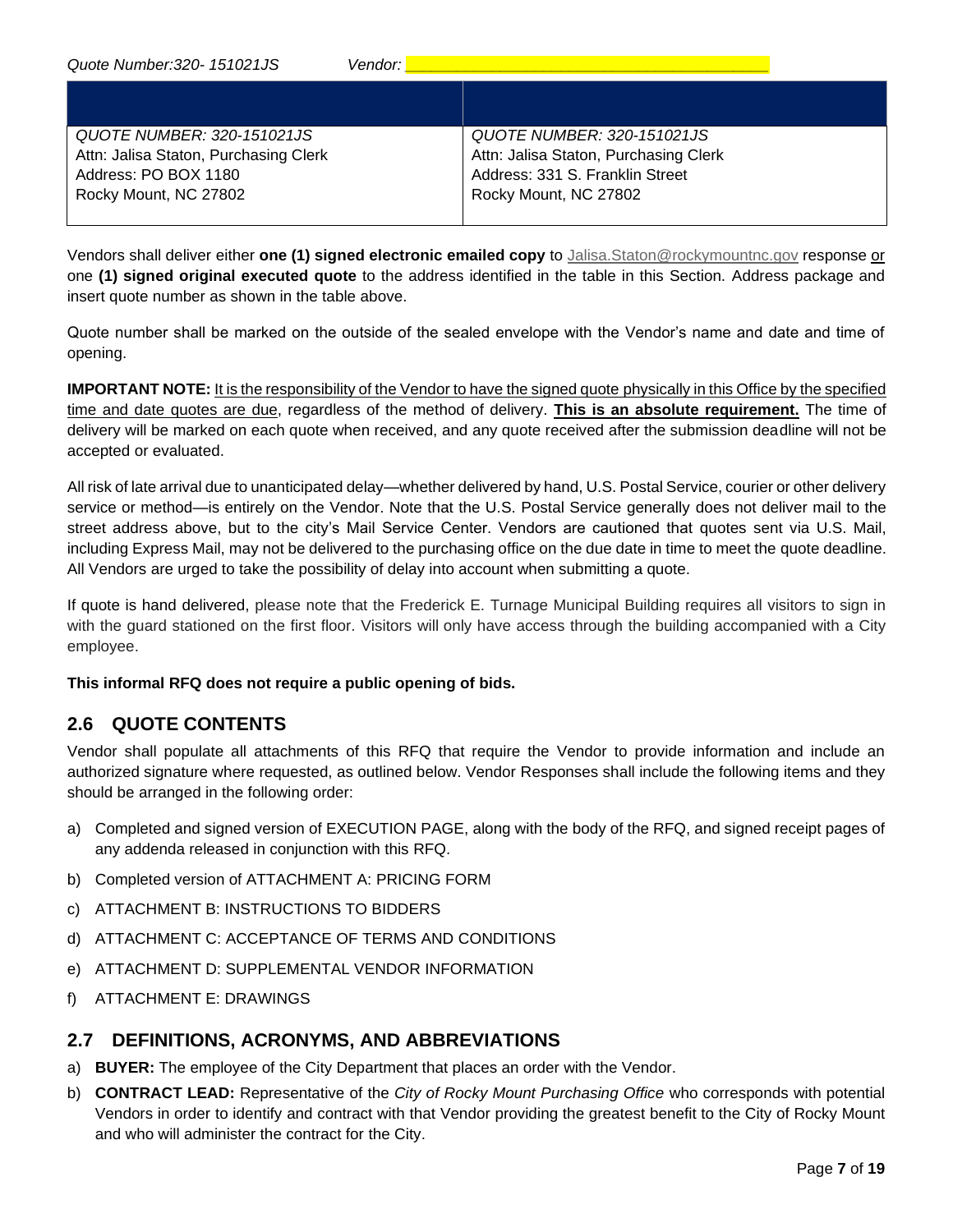| QUOTE NUMBER: 320-151021JS            | QUOTE NUMBER: 320-151021JS            |
|---------------------------------------|---------------------------------------|
| Attn: Jalisa Staton, Purchasing Clerk | Attn: Jalisa Staton, Purchasing Clerk |
| Address: PO BOX 1180                  | Address: 331 S. Franklin Street       |
| Rocky Mount, NC 27802                 | Rocky Mount, NC 27802                 |
|                                       |                                       |

Vendors shall deliver either **one (1) signed electronic emailed copy** to [Jalisa.Staton@rockymountnc.gov](mailto:debra.harris@rockymountnc.gov) response or one **(1) signed original executed quote** to the address identified in the table in this Section. Address package and insert quote number as shown in the table above.

Quote number shall be marked on the outside of the sealed envelope with the Vendor's name and date and time of opening.

**IMPORTANT NOTE:** It is the responsibility of the Vendor to have the signed quote physically in this Office by the specified time and date quotes are due, regardless of the method of delivery. **This is an absolute requirement.** The time of delivery will be marked on each quote when received, and any quote received after the submission deadline will not be accepted or evaluated.

All risk of late arrival due to unanticipated delay—whether delivered by hand, U.S. Postal Service, courier or other delivery service or method—is entirely on the Vendor. Note that the U.S. Postal Service generally does not deliver mail to the street address above, but to the city's Mail Service Center. Vendors are cautioned that quotes sent via U.S. Mail, including Express Mail, may not be delivered to the purchasing office on the due date in time to meet the quote deadline. All Vendors are urged to take the possibility of delay into account when submitting a quote.

If quote is hand delivered, please note that the Frederick E. Turnage Municipal Building requires all visitors to sign in with the guard stationed on the first floor. Visitors will only have access through the building accompanied with a City employee.

#### **This informal RFQ does not require a public opening of bids.**

#### **2.6 QUOTE CONTENTS**

Vendor shall populate all attachments of this RFQ that require the Vendor to provide information and include an authorized signature where requested, as outlined below. Vendor Responses shall include the following items and they should be arranged in the following order:

- a) Completed and signed version of EXECUTION PAGE, along with the body of the RFQ, and signed receipt pages of any addenda released in conjunction with this RFQ.
- b) Completed version of ATTACHMENT A: PRICING FORM
- c) ATTACHMENT B: INSTRUCTIONS TO BIDDERS
- d) ATTACHMENT C: ACCEPTANCE OF TERMS AND CONDITIONS
- e) ATTACHMENT D: SUPPLEMENTAL VENDOR INFORMATION
- f) ATTACHMENT E: DRAWINGS

#### **2.7 DEFINITIONS, ACRONYMS, AND ABBREVIATIONS**

- a) **BUYER:** The employee of the City Department that places an order with the Vendor.
- b) **CONTRACT LEAD:** Representative of the *City of Rocky Mount Purchasing Office* who corresponds with potential Vendors in order to identify and contract with that Vendor providing the greatest benefit to the City of Rocky Mount and who will administer the contract for the City.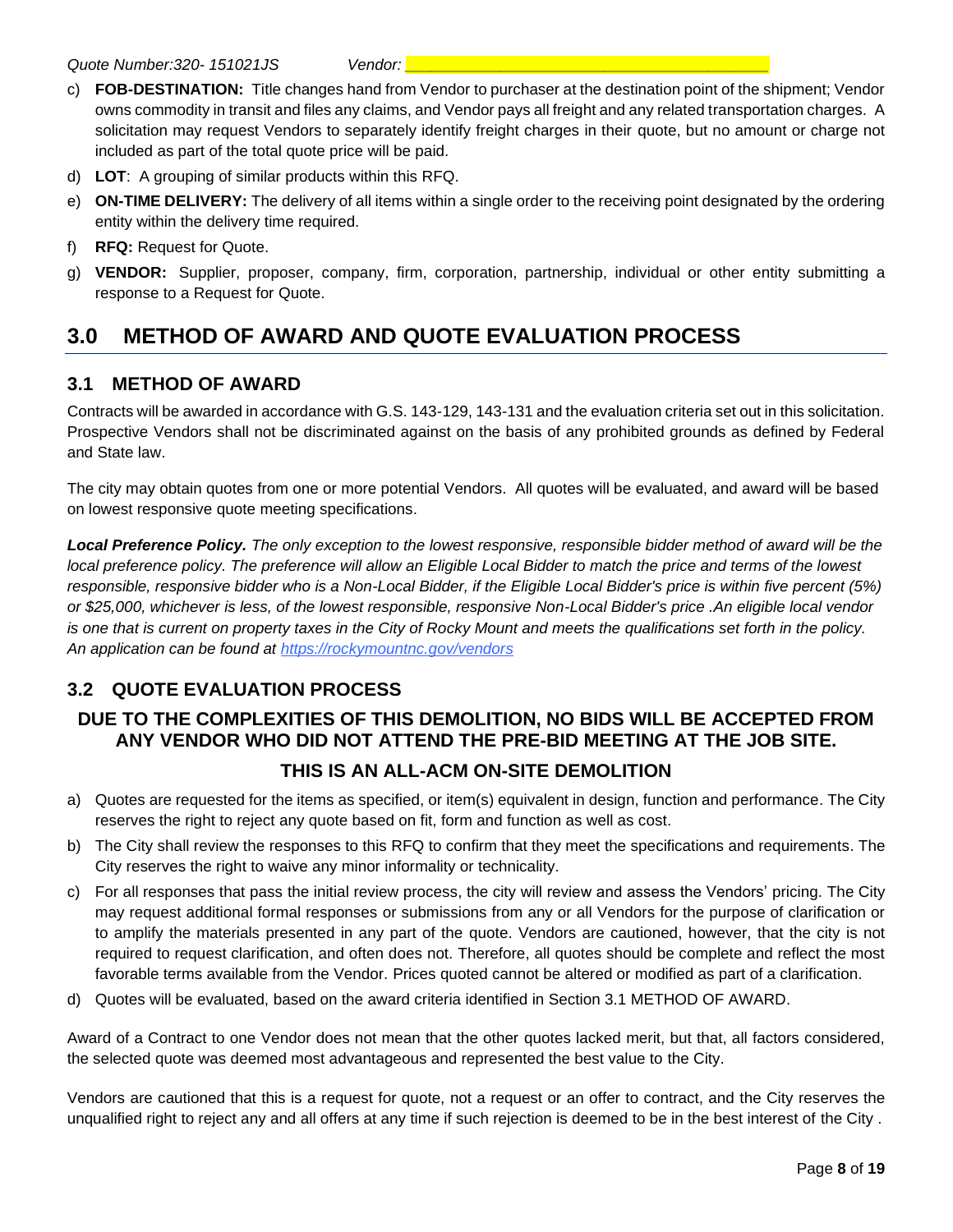- c) **FOB-DESTINATION:** Title changes hand from Vendor to purchaser at the destination point of the shipment; Vendor owns commodity in transit and files any claims, and Vendor pays all freight and any related transportation charges. A solicitation may request Vendors to separately identify freight charges in their quote, but no amount or charge not included as part of the total quote price will be paid.
- d) **LOT**: A grouping of similar products within this RFQ.
- e) **ON-TIME DELIVERY:** The delivery of all items within a single order to the receiving point designated by the ordering entity within the delivery time required.
- f) **RFQ:** Request for Quote.
- g) **VENDOR:** Supplier, proposer, company, firm, corporation, partnership, individual or other entity submitting a response to a Request for Quote.

# **3.0 METHOD OF AWARD AND QUOTE EVALUATION PROCESS**

## **3.1 METHOD OF AWARD**

Contracts will be awarded in accordance with G.S. 143-129, 143-131 and the evaluation criteria set out in this solicitation. Prospective Vendors shall not be discriminated against on the basis of any prohibited grounds as defined by Federal and State law.

The city may obtain quotes from one or more potential Vendors. All quotes will be evaluated, and award will be based on lowest responsive quote meeting specifications.

*Local Preference Policy. The only exception to the lowest responsive, responsible bidder method of award will be the local preference policy. The preference will allow an Eligible Local Bidder to match the price and terms of the lowest responsible, responsive bidder who is a Non-Local Bidder, if the Eligible Local Bidder's price is within five percent (5%) or \$25,000, whichever is less, of the lowest responsible, responsive Non-Local Bidder's price .An eligible local vendor is one that is current on property taxes in the City of Rocky Mount and meets the qualifications set forth in the policy. An application can be found at https://rockymountnc.gov/vendors*

# **3.2 QUOTE EVALUATION PROCESS**

## **DUE TO THE COMPLEXITIES OF THIS DEMOLITION, NO BIDS WILL BE ACCEPTED FROM ANY VENDOR WHO DID NOT ATTEND THE PRE-BID MEETING AT THE JOB SITE. THIS IS AN ALL-ACM ON-SITE DEMOLITION**

- a) Quotes are requested for the items as specified, or item(s) equivalent in design, function and performance. The City reserves the right to reject any quote based on fit, form and function as well as cost.
- b) The City shall review the responses to this RFQ to confirm that they meet the specifications and requirements. The City reserves the right to waive any minor informality or technicality.
- c) For all responses that pass the initial review process, the city will review and assess the Vendors' pricing. The City may request additional formal responses or submissions from any or all Vendors for the purpose of clarification or to amplify the materials presented in any part of the quote. Vendors are cautioned, however, that the city is not required to request clarification, and often does not. Therefore, all quotes should be complete and reflect the most favorable terms available from the Vendor. Prices quoted cannot be altered or modified as part of a clarification.
- d) Quotes will be evaluated, based on the award criteria identified in Section 3.1 METHOD OF AWARD.

Award of a Contract to one Vendor does not mean that the other quotes lacked merit, but that, all factors considered, the selected quote was deemed most advantageous and represented the best value to the City.

Vendors are cautioned that this is a request for quote, not a request or an offer to contract, and the City reserves the unqualified right to reject any and all offers at any time if such rejection is deemed to be in the best interest of the City .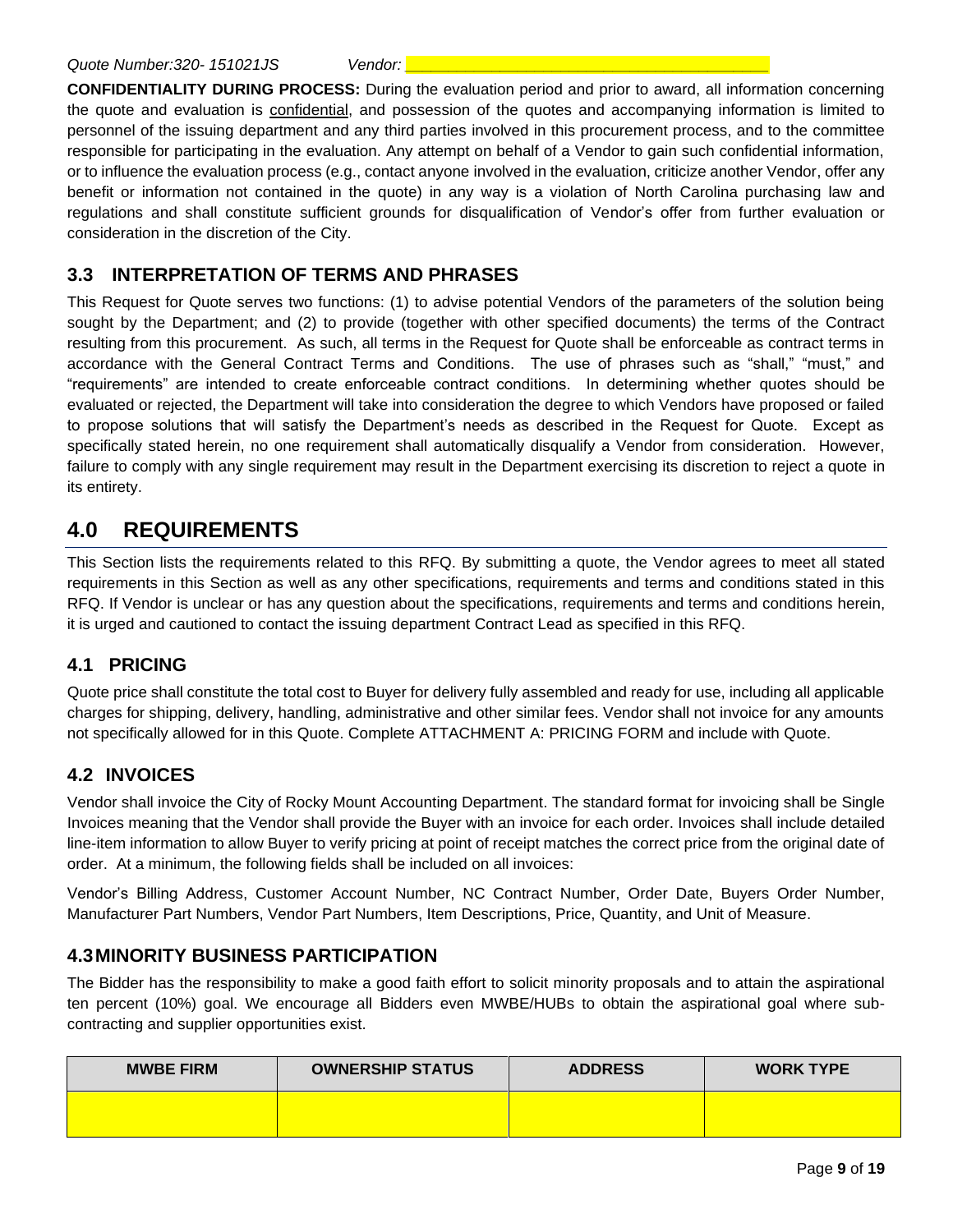**CONFIDENTIALITY DURING PROCESS:** During the evaluation period and prior to award, all information concerning the quote and evaluation is confidential, and possession of the quotes and accompanying information is limited to personnel of the issuing department and any third parties involved in this procurement process, and to the committee responsible for participating in the evaluation. Any attempt on behalf of a Vendor to gain such confidential information, or to influence the evaluation process (e.g., contact anyone involved in the evaluation, criticize another Vendor, offer any benefit or information not contained in the quote) in any way is a violation of North Carolina purchasing law and regulations and shall constitute sufficient grounds for disqualification of Vendor's offer from further evaluation or consideration in the discretion of the City.

#### **3.3 INTERPRETATION OF TERMS AND PHRASES**

This Request for Quote serves two functions: (1) to advise potential Vendors of the parameters of the solution being sought by the Department; and (2) to provide (together with other specified documents) the terms of the Contract resulting from this procurement. As such, all terms in the Request for Quote shall be enforceable as contract terms in accordance with the General Contract Terms and Conditions. The use of phrases such as "shall," "must," and "requirements" are intended to create enforceable contract conditions. In determining whether quotes should be evaluated or rejected, the Department will take into consideration the degree to which Vendors have proposed or failed to propose solutions that will satisfy the Department's needs as described in the Request for Quote. Except as specifically stated herein, no one requirement shall automatically disqualify a Vendor from consideration. However, failure to comply with any single requirement may result in the Department exercising its discretion to reject a quote in its entirety.

# **4.0 REQUIREMENTS**

This Section lists the requirements related to this RFQ. By submitting a quote, the Vendor agrees to meet all stated requirements in this Section as well as any other specifications, requirements and terms and conditions stated in this RFQ. If Vendor is unclear or has any question about the specifications, requirements and terms and conditions herein, it is urged and cautioned to contact the issuing department Contract Lead as specified in this RFQ.

#### **4.1 PRICING**

Quote price shall constitute the total cost to Buyer for delivery fully assembled and ready for use, including all applicable charges for shipping, delivery, handling, administrative and other similar fees. Vendor shall not invoice for any amounts not specifically allowed for in this Quote. Complete ATTACHMENT A: PRICING FORM and include with Quote.

#### **4.2 INVOICES**

Vendor shall invoice the City of Rocky Mount Accounting Department. The standard format for invoicing shall be Single Invoices meaning that the Vendor shall provide the Buyer with an invoice for each order. Invoices shall include detailed line-item information to allow Buyer to verify pricing at point of receipt matches the correct price from the original date of order. At a minimum, the following fields shall be included on all invoices:

Vendor's Billing Address, Customer Account Number, NC Contract Number, Order Date, Buyers Order Number, Manufacturer Part Numbers, Vendor Part Numbers, Item Descriptions, Price, Quantity, and Unit of Measure.

## **4.3MINORITY BUSINESS PARTICIPATION**

The Bidder has the responsibility to make a good faith effort to solicit minority proposals and to attain the aspirational ten percent (10%) goal. We encourage all Bidders even MWBE/HUBs to obtain the aspirational goal where subcontracting and supplier opportunities exist.

| <b>MWBE FIRM</b> | <b>OWNERSHIP STATUS</b> | <b>ADDRESS</b> | <b>WORK TYPE</b> |
|------------------|-------------------------|----------------|------------------|
|                  |                         |                |                  |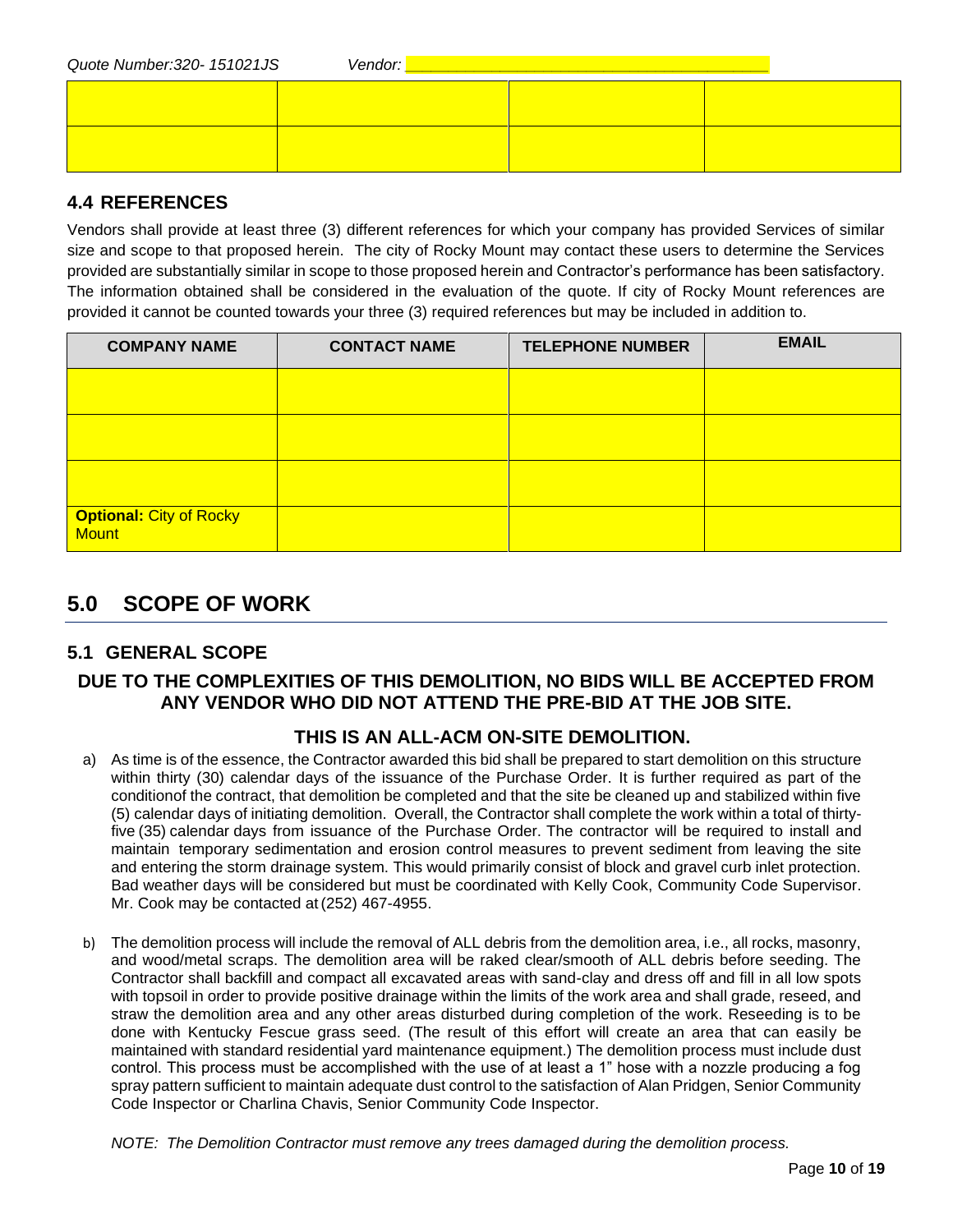| Quote Number: 320- 151021JS | Vendor: |  |  |  |
|-----------------------------|---------|--|--|--|
|                             |         |  |  |  |
|                             |         |  |  |  |
|                             |         |  |  |  |
|                             |         |  |  |  |

#### **4.4 REFERENCES**

Vendors shall provide at least three (3) different references for which your company has provided Services of similar size and scope to that proposed herein. The city of Rocky Mount may contact these users to determine the Services provided are substantially similar in scope to those proposed herein and Contractor's performance has been satisfactory. The information obtained shall be considered in the evaluation of the quote. If city of Rocky Mount references are provided it cannot be counted towards your three (3) required references but may be included in addition to.

| <b>COMPANY NAME</b>                            | <b>CONTACT NAME</b> | <b>TELEPHONE NUMBER</b> | <b>EMAIL</b> |
|------------------------------------------------|---------------------|-------------------------|--------------|
|                                                |                     |                         |              |
|                                                |                     |                         |              |
|                                                |                     |                         |              |
| <b>Optional: City of Rocky</b><br><b>Mount</b> |                     |                         |              |

# **5.0 SCOPE OF WORK**

## **5.1 GENERAL SCOPE**

#### **DUE TO THE COMPLEXITIES OF THIS DEMOLITION, NO BIDS WILL BE ACCEPTED FROM ANY VENDOR WHO DID NOT ATTEND THE PRE-BID AT THE JOB SITE.**

#### **THIS IS AN ALL-ACM ON-SITE DEMOLITION.**

- a) As time is of the essence, the Contractor awarded this bid shall be prepared to start demolition on this structure within thirty (30) calendar days of the issuance of the Purchase Order. It is further required as part of the conditionof the contract, that demolition be completed and that the site be cleaned up and stabilized within five (5) calendar days of initiating demolition. Overall, the Contractor shall complete the work within a total of thirtyfive (35) calendar days from issuance of the Purchase Order. The contractor will be required to install and maintain temporary sedimentation and erosion control measures to prevent sediment from leaving the site and entering the storm drainage system. This would primarily consist of block and gravel curb inlet protection. Bad weather days will be considered but must be coordinated with Kelly Cook, Community Code Supervisor. Mr. Cook may be contacted at (252) 467-4955.
- b) The demolition process will include the removal of ALL debris from the demolition area, i.e., all rocks, masonry, and wood/metal scraps. The demolition area will be raked clear/smooth of ALL debris before seeding. The Contractor shall backfill and compact all excavated areas with sand-clay and dress off and fill in all low spots with topsoil in order to provide positive drainage within the limits of the work area and shall grade, reseed, and straw the demolition area and any other areas disturbed during completion of the work. Reseeding is to be done with Kentucky Fescue grass seed. (The result of this effort will create an area that can easily be maintained with standard residential yard maintenance equipment.) The demolition process must include dust control. This process must be accomplished with the use of at least a 1" hose with a nozzle producing a fog spray pattern sufficient to maintain adequate dust control to the satisfaction of Alan Pridgen, Senior Community Code Inspector or Charlina Chavis, Senior Community Code Inspector.

*NOTE: The Demolition Contractor must remove any trees damaged during the demolition process.*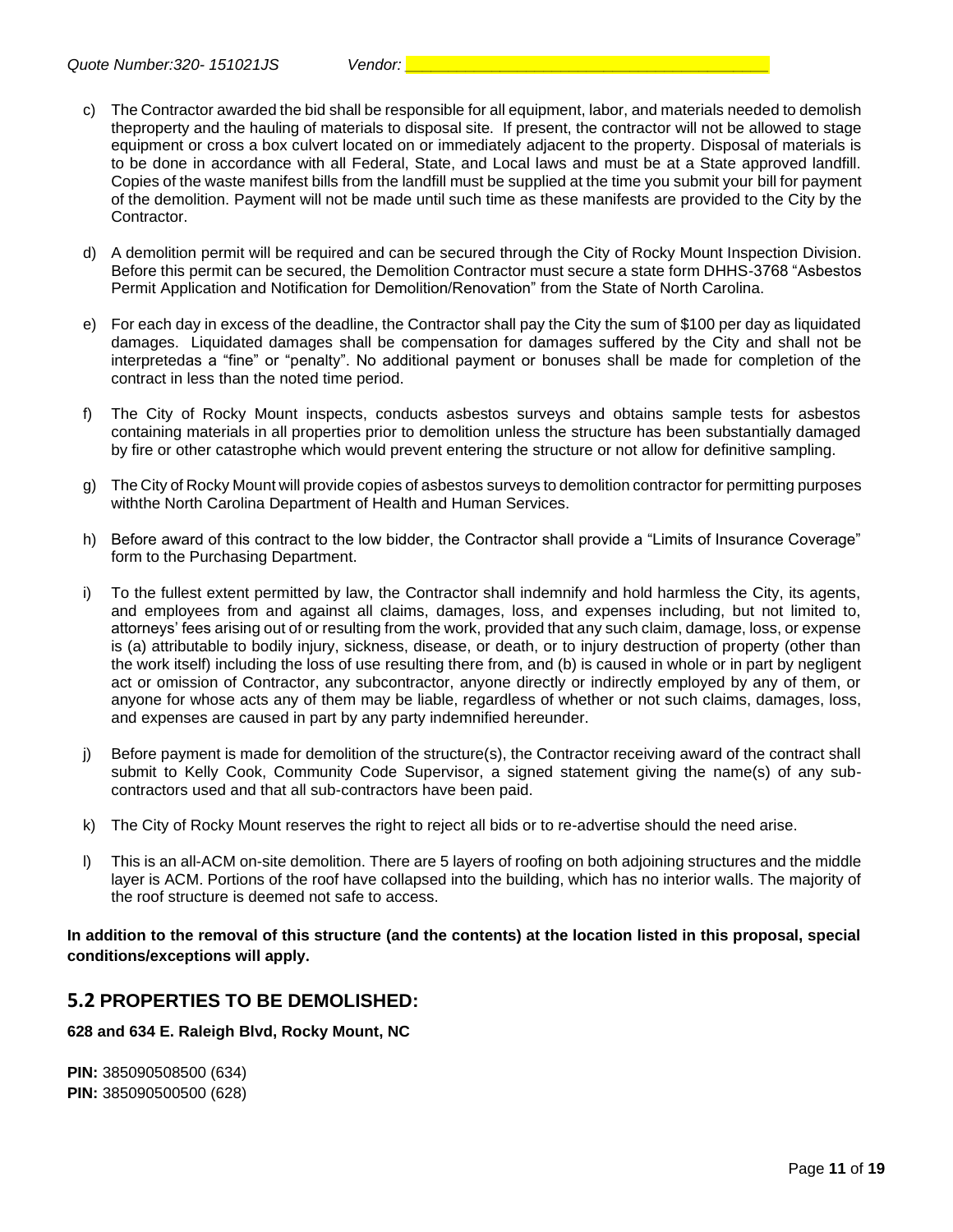- c) The Contractor awarded the bid shall be responsible for all equipment, labor, and materials needed to demolish theproperty and the hauling of materials to disposal site. If present, the contractor will not be allowed to stage equipment or cross a box culvert located on or immediately adjacent to the property. Disposal of materials is to be done in accordance with all Federal, State, and Local laws and must be at a State approved landfill. Copies of the waste manifest bills from the landfill must be supplied at the time you submit your bill for payment of the demolition. Payment will not be made until such time as these manifests are provided to the City by the Contractor.
- d) A demolition permit will be required and can be secured through the City of Rocky Mount Inspection Division. Before this permit can be secured, the Demolition Contractor must secure a state form DHHS-3768 "Asbestos Permit Application and Notification for Demolition/Renovation" from the State of North Carolina.
- e) For each day in excess of the deadline, the Contractor shall pay the City the sum of \$100 per day as liquidated damages. Liquidated damages shall be compensation for damages suffered by the City and shall not be interpretedas a "fine" or "penalty". No additional payment or bonuses shall be made for completion of the contract in less than the noted time period.
- f) The City of Rocky Mount inspects, conducts asbestos surveys and obtains sample tests for asbestos containing materials in all properties prior to demolition unless the structure has been substantially damaged by fire or other catastrophe which would prevent entering the structure or not allow for definitive sampling.
- g) The City of Rocky Mount will provide copies of asbestos surveys to demolition contractor for permitting purposes withthe North Carolina Department of Health and Human Services.
- h) Before award of this contract to the low bidder, the Contractor shall provide a "Limits of Insurance Coverage" form to the Purchasing Department.
- i) To the fullest extent permitted by law, the Contractor shall indemnify and hold harmless the City, its agents, and employees from and against all claims, damages, loss, and expenses including, but not limited to, attorneys' fees arising out of or resulting from the work, provided that any such claim, damage, loss, or expense is (a) attributable to bodily injury, sickness, disease, or death, or to injury destruction of property (other than the work itself) including the loss of use resulting there from, and (b) is caused in whole or in part by negligent act or omission of Contractor, any subcontractor, anyone directly or indirectly employed by any of them, or anyone for whose acts any of them may be liable, regardless of whether or not such claims, damages, loss, and expenses are caused in part by any party indemnified hereunder.
- j) Before payment is made for demolition of the structure(s), the Contractor receiving award of the contract shall submit to Kelly Cook, Community Code Supervisor, a signed statement giving the name(s) of any subcontractors used and that all sub-contractors have been paid.
- k) The City of Rocky Mount reserves the right to reject all bids or to re-advertise should the need arise.
- l) This is an all-ACM on-site demolition. There are 5 layers of roofing on both adjoining structures and the middle layer is ACM. Portions of the roof have collapsed into the building, which has no interior walls. The majority of the roof structure is deemed not safe to access.

**In addition to the removal of this structure (and the contents) at the location listed in this proposal, special conditions/exceptions will apply.**

#### **5.2 PROPERTIES TO BE DEMOLISHED:**

**628 and 634 E. Raleigh Blvd, Rocky Mount, NC**

**PIN:** 385090508500 (634) **PIN: 385090500500 (628)**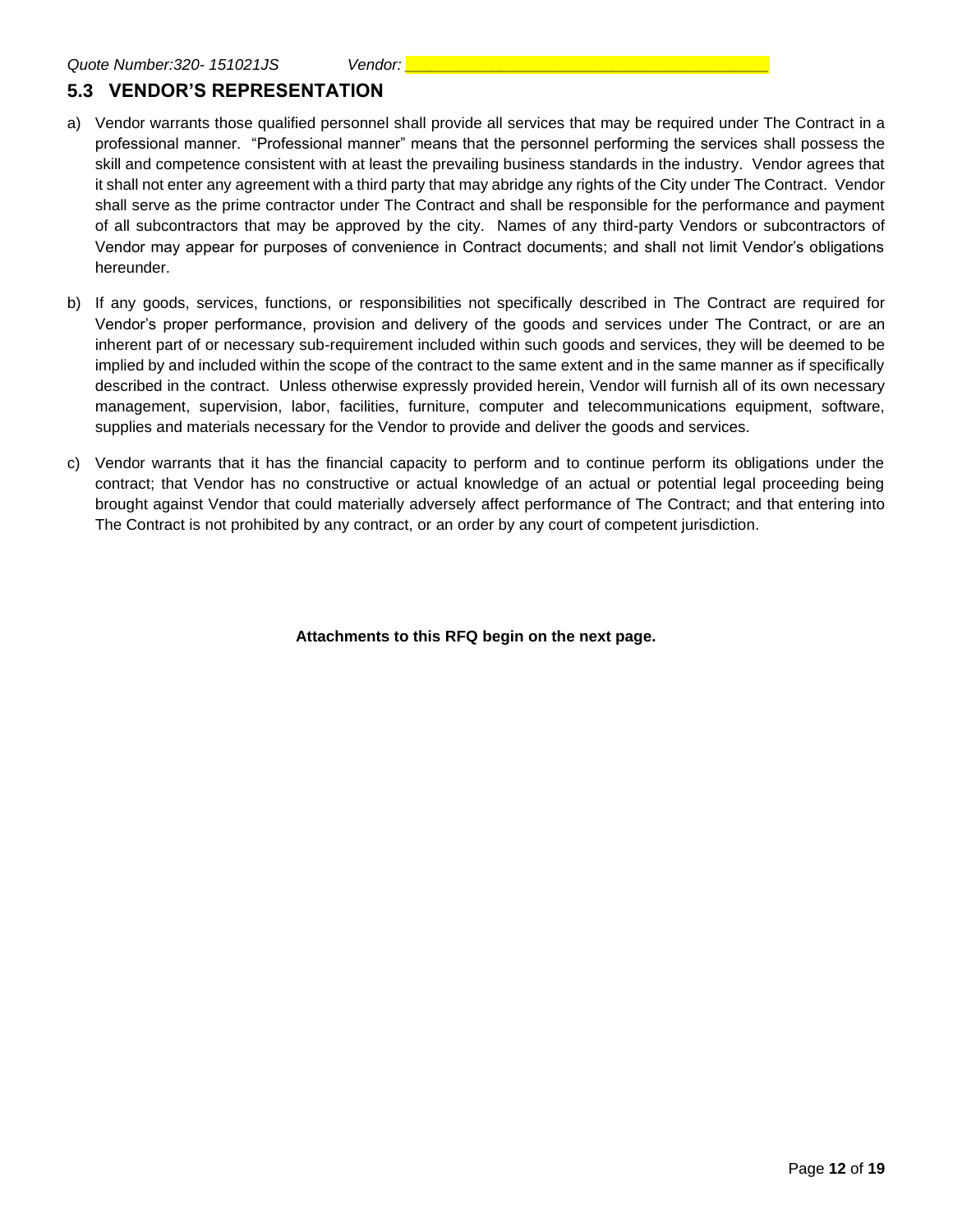## **5.3 VENDOR'S REPRESENTATION**

- a) Vendor warrants those qualified personnel shall provide all services that may be required under The Contract in a professional manner. "Professional manner" means that the personnel performing the services shall possess the skill and competence consistent with at least the prevailing business standards in the industry. Vendor agrees that it shall not enter any agreement with a third party that may abridge any rights of the City under The Contract. Vendor shall serve as the prime contractor under The Contract and shall be responsible for the performance and payment of all subcontractors that may be approved by the city. Names of any third-party Vendors or subcontractors of Vendor may appear for purposes of convenience in Contract documents; and shall not limit Vendor's obligations hereunder.
- b) If any goods, services, functions, or responsibilities not specifically described in The Contract are required for Vendor's proper performance, provision and delivery of the goods and services under The Contract, or are an inherent part of or necessary sub-requirement included within such goods and services, they will be deemed to be implied by and included within the scope of the contract to the same extent and in the same manner as if specifically described in the contract. Unless otherwise expressly provided herein, Vendor will furnish all of its own necessary management, supervision, labor, facilities, furniture, computer and telecommunications equipment, software, supplies and materials necessary for the Vendor to provide and deliver the goods and services.
- c) Vendor warrants that it has the financial capacity to perform and to continue perform its obligations under the contract; that Vendor has no constructive or actual knowledge of an actual or potential legal proceeding being brought against Vendor that could materially adversely affect performance of The Contract; and that entering into The Contract is not prohibited by any contract, or an order by any court of competent jurisdiction.

**Attachments to this RFQ begin on the next page.**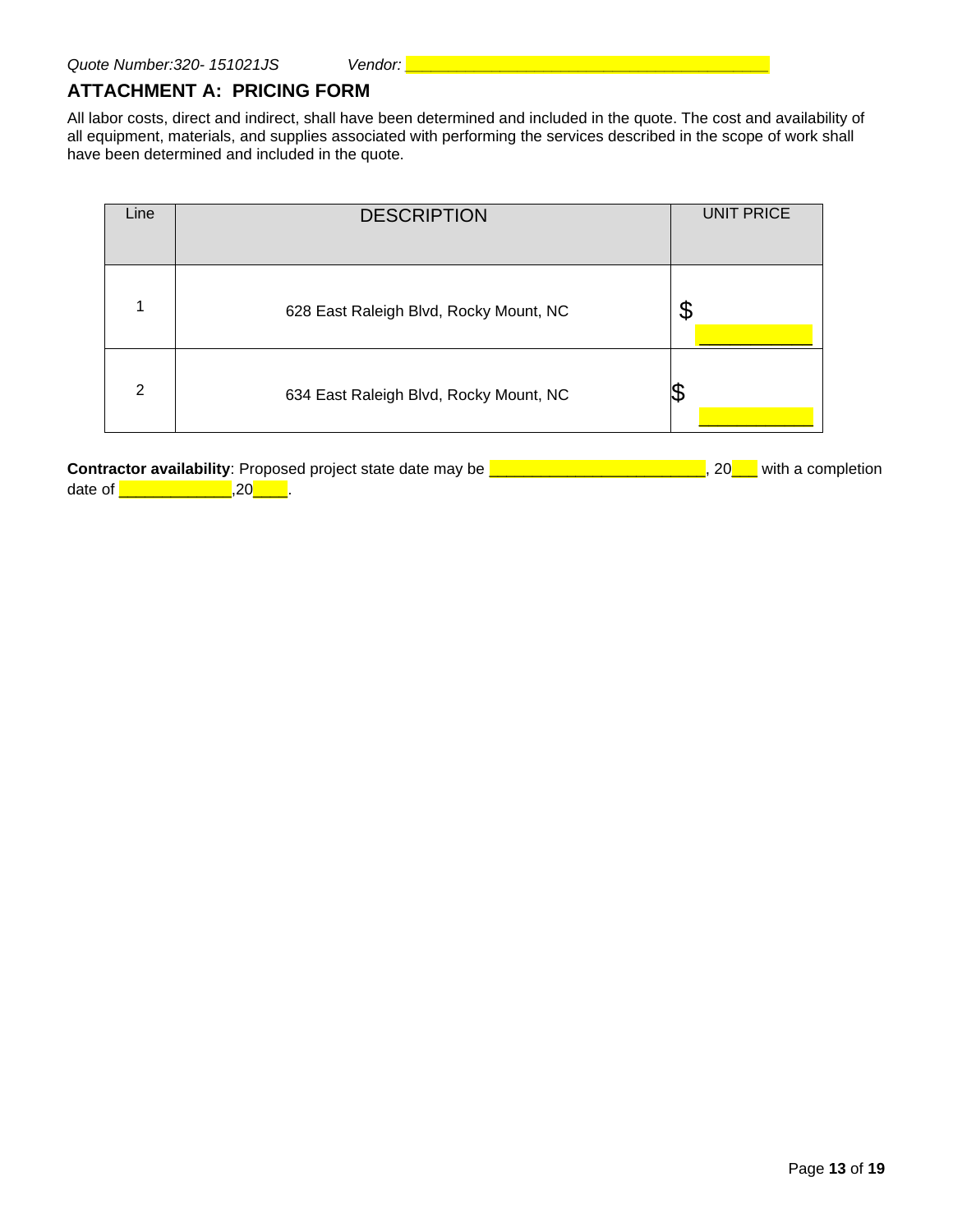#### **ATTACHMENT A: PRICING FORM**

All labor costs, direct and indirect, shall have been determined and included in the quote. The cost and availability of all equipment, materials, and supplies associated with performing the services described in the scope of work shall have been determined and included in the quote.

| Line | <b>DESCRIPTION</b>                     | <b>UNIT PRICE</b> |
|------|----------------------------------------|-------------------|
|      | 628 East Raleigh Blvd, Rocky Mount, NC | \$                |
| 2    | 634 East Raleigh Blvd, Rocky Mount, NC |                   |

**Contractor availability**: Proposed project state date may be **LET ANSILE 2000 LEV**, 20<sub>00</sub> with a completion date of \_\_\_\_\_\_\_\_\_\_\_\_\_,20\_\_\_\_.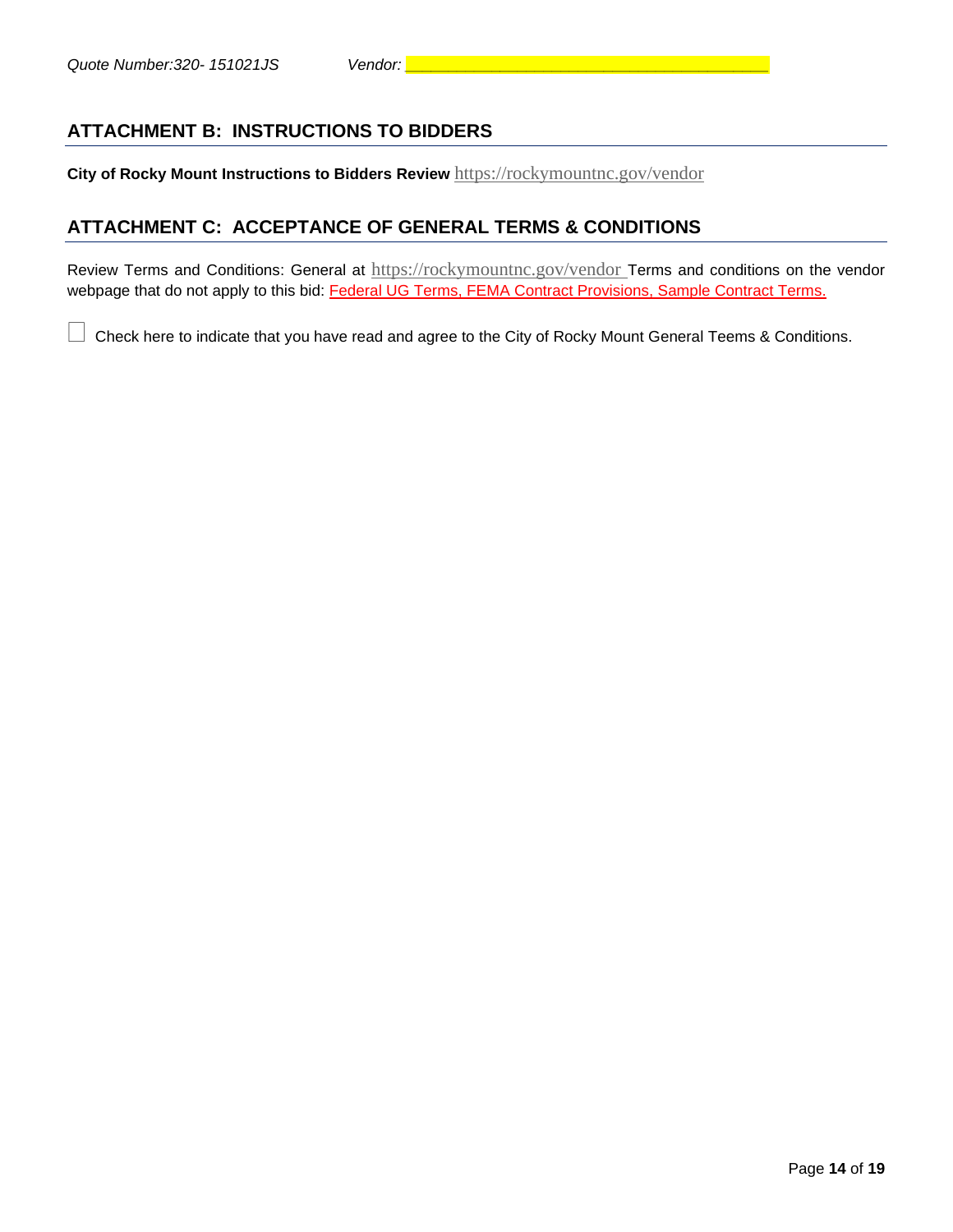**City of Rocky Mount Instructions to Bidders Review** <https://rockymountnc.gov/vendor>

#### **ATTACHMENT C: ACCEPTANCE OF GENERAL TERMS & CONDITIONS**

Review Terms and Conditions: General at <https://rockymountnc.gov/vendor> Terms and conditions on the vendor webpage that do not apply to this bid: Federal UG Terms, FEMA Contract Provisions, Sample Contract Terms.

Check here to indicate that you have read and agree to the City of Rocky Mount General Teems & Conditions.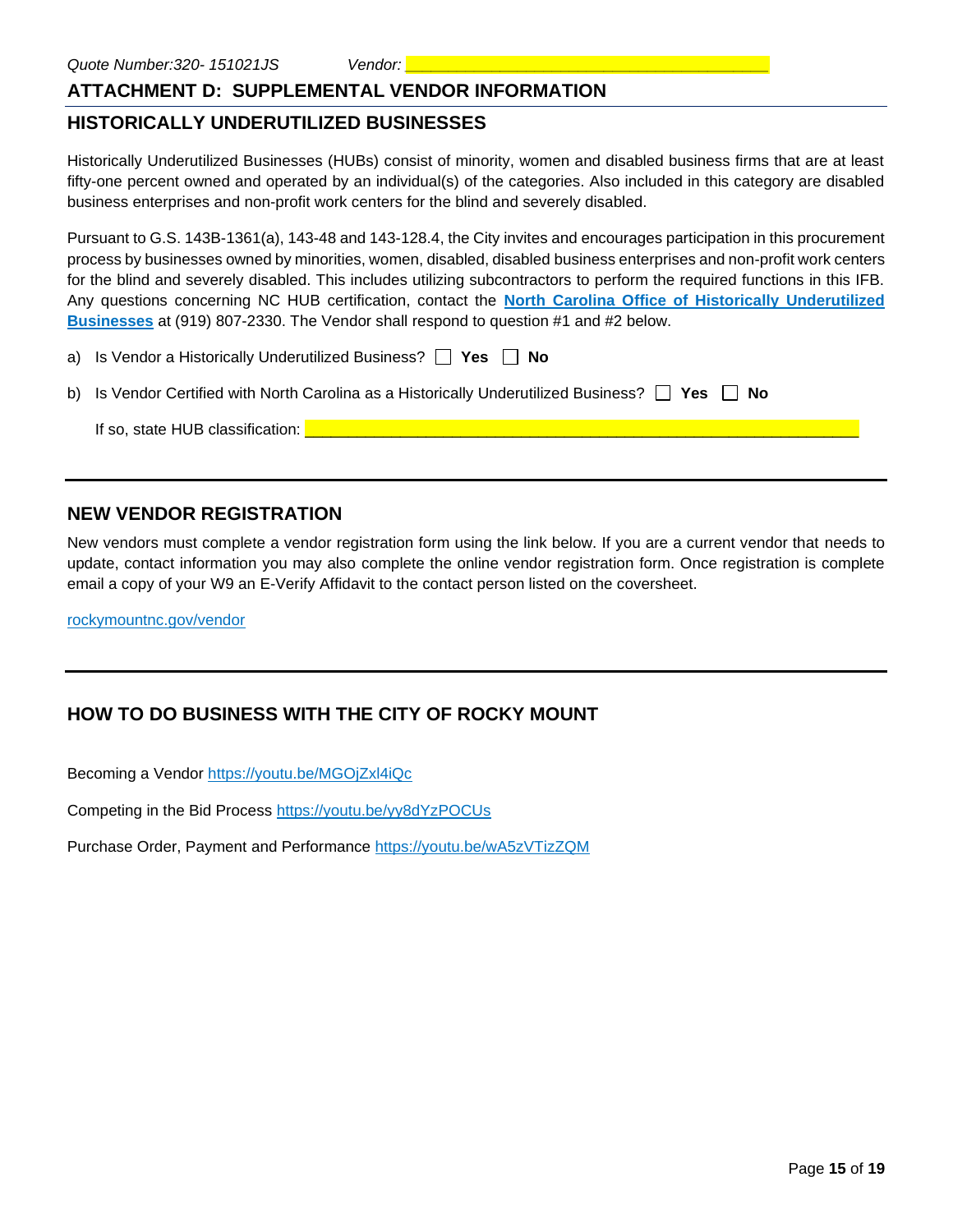#### **ATTACHMENT D: SUPPLEMENTAL VENDOR INFORMATION**

#### **HISTORICALLY UNDERUTILIZED BUSINESSES**

Historically Underutilized Businesses (HUBs) consist of minority, women and disabled business firms that are at least fifty-one percent owned and operated by an individual(s) of the categories. Also included in this category are disabled business enterprises and non-profit work centers for the blind and severely disabled.

Pursuant to G.S. 143B-1361(a), 143-48 and 143-128.4, the City invites and encourages participation in this procurement process by businesses owned by minorities, women, disabled, disabled business enterprises and non-profit work centers for the blind and severely disabled. This includes utilizing subcontractors to perform the required functions in this IFB. Any questions concerning NC HUB certification, contact the **[North Carolina Office of Historically Underutilized](http://ncadmin.nc.gov/businesses/hub)  [Businesses](http://ncadmin.nc.gov/businesses/hub)** at (919) 807-2330. The Vendor shall respond to question #1 and #2 below.

a) Is Vendor a Historically Underutilized Business? **Fig. Yes Fig. No** 

b) Is Vendor Certified with North Carolina as a Historically Underutilized Business? **T** Yes **No** 

If so, state HUB classification:  $\Box$ 

#### **NEW VENDOR REGISTRATION**

New vendors must complete a vendor registration form using the link below. If you are a current vendor that needs to update, contact information you may also complete the online vendor registration form. Once registration is complete email a copy of your W9 an E-Verify Affidavit to the contact person listed on the coversheet.

rockymountnc.gov/vendor

## **HOW TO DO BUSINESS WITH THE CITY OF ROCKY MOUNT**

Becoming a Vendor <https://youtu.be/MGOjZxl4iQc>

Competing in the Bid Process <https://youtu.be/yy8dYzPOCUs>

Purchase Order, Payment and Performance <https://youtu.be/wA5zVTizZQM>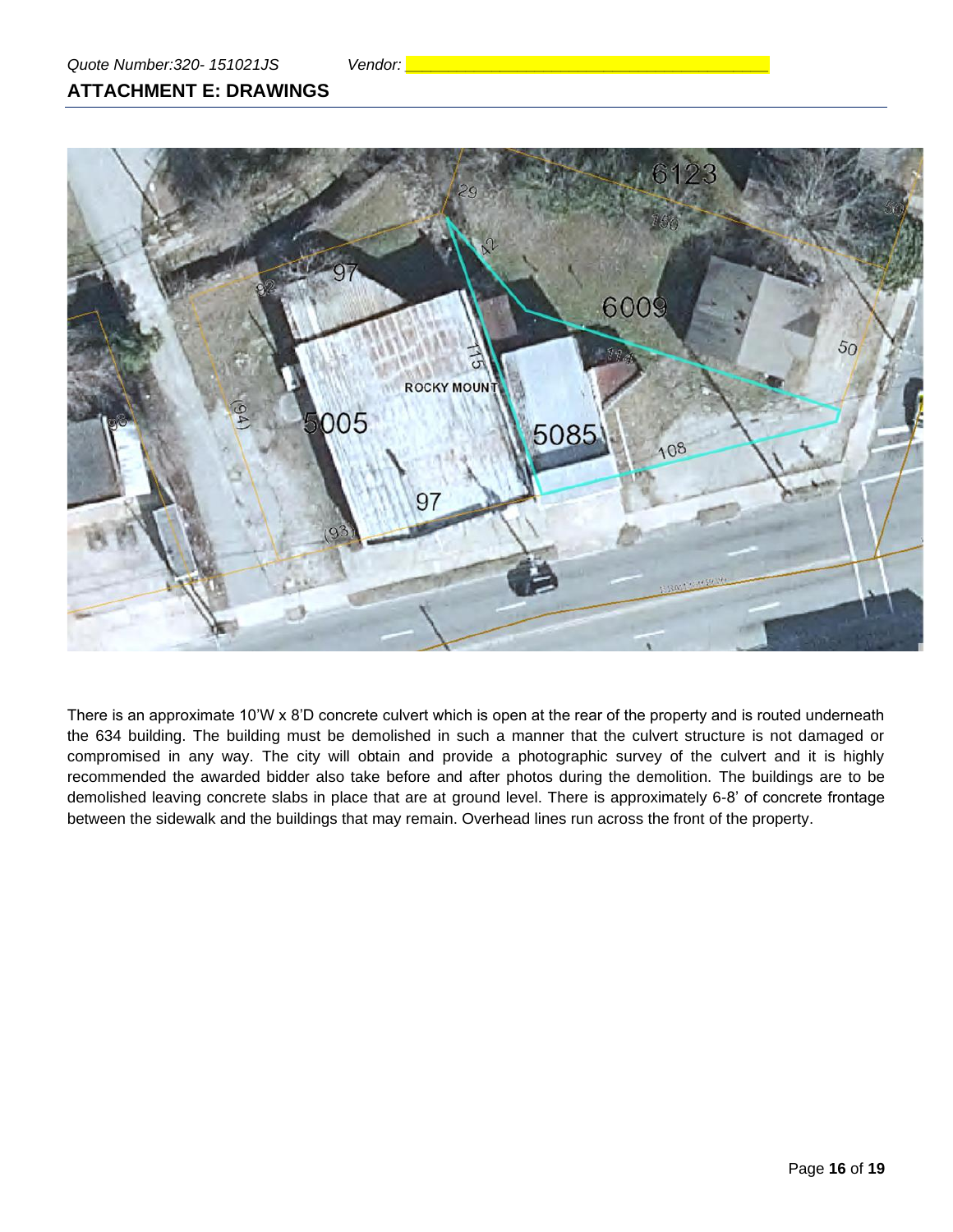## **ATTACHMENT E: DRAWINGS**



There is an approximate 10'W x 8'D concrete culvert which is open at the rear of the property and is routed underneath the 634 building. The building must be demolished in such a manner that the culvert structure is not damaged or compromised in any way. The city will obtain and provide a photographic survey of the culvert and it is highly recommended the awarded bidder also take before and after photos during the demolition. The buildings are to be demolished leaving concrete slabs in place that are at ground level. There is approximately 6-8' of concrete frontage between the sidewalk and the buildings that may remain. Overhead lines run across the front of the property.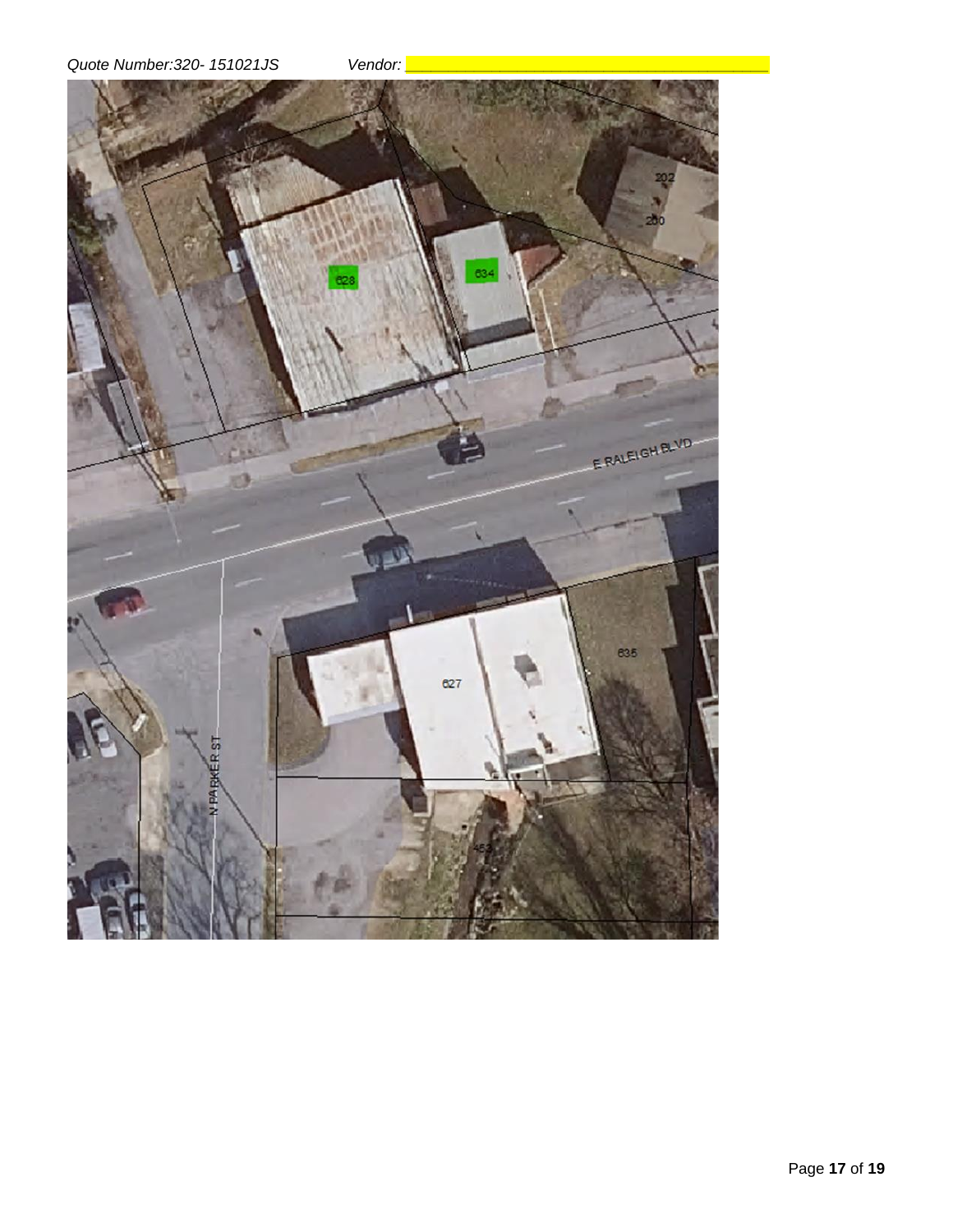*Quote Number:320- 151021JS Vendor: \_\_\_\_\_\_\_\_\_\_\_\_\_\_\_\_\_\_\_\_\_\_\_\_\_\_\_\_\_\_\_\_\_\_\_\_\_\_\_\_\_\_*



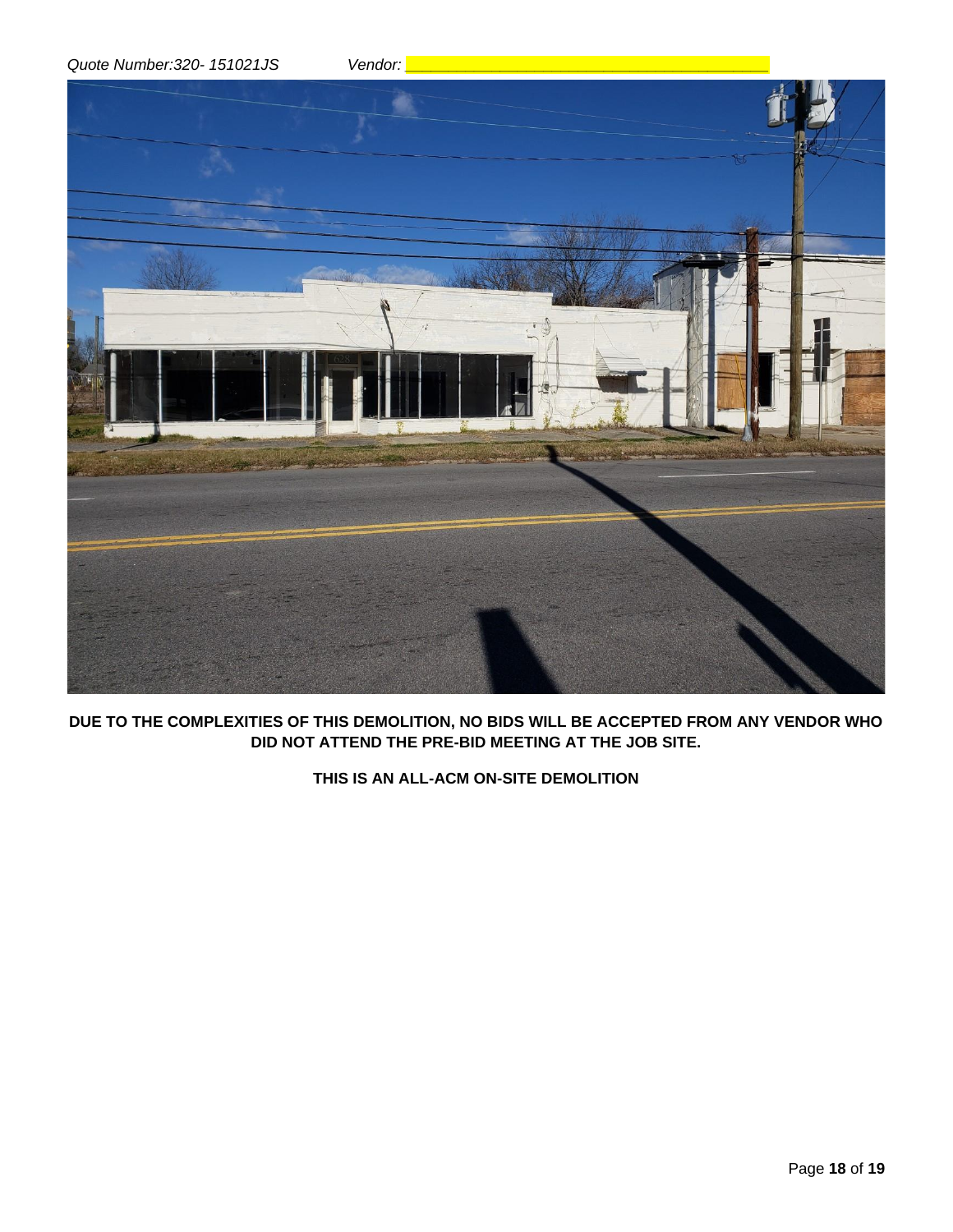*Quote Number:320- 151021JS Vendor: \_\_\_\_\_\_\_\_\_\_\_\_\_\_\_\_\_\_\_\_\_\_\_\_\_\_\_\_\_\_\_\_\_\_\_\_\_\_\_\_\_\_*



**DUE TO THE COMPLEXITIES OF THIS DEMOLITION, NO BIDS WILL BE ACCEPTED FROM ANY VENDOR WHO DID NOT ATTEND THE PRE-BID MEETING AT THE JOB SITE.**

**THIS IS AN ALL-ACM ON-SITE DEMOLITION**